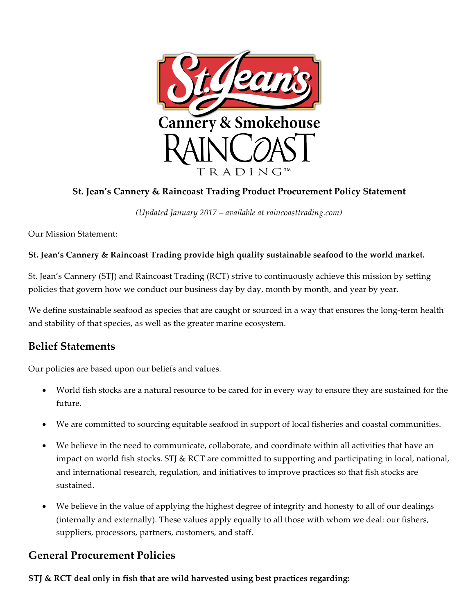

# **St. Jean's Cannery & Raincoast Trading Product Procurement Policy Statement**

*(Updated January 2017 – available at raincoasttrading.com)*

Our Mission Statement:

## **St. Jean's Cannery & Raincoast Trading provide high quality sustainable seafood to the world market.**

St. Jean's Cannery (STJ) and Raincoast Trading (RCT) strive to continuously achieve this mission by setting policies that govern how we conduct our business day by day, month by month, and year by year.

We define sustainable seafood as species that are caught or sourced in a way that ensures the long-term health and stability of that species, as well as the greater marine ecosystem.

# **Belief Statements**

Our policies are based upon our beliefs and values.

- World fish stocks are a natural resource to be cared for in every way to ensure they are sustained for the future.
- We are committed to sourcing equitable seafood in support of local fisheries and coastal communities.
- We believe in the need to communicate, collaborate, and coordinate within all activities that have an impact on world fish stocks. STJ & RCT are committed to supporting and participating in local, national, and international research, regulation, and initiatives to improve practices so that fish stocks are sustained.
- We believe in the value of applying the highest degree of integrity and honesty to all of our dealings (internally and externally). These values apply equally to all those with whom we deal: our fishers, suppliers, processors, partners, customers, and staff.

## **General Procurement Policies**

**STJ & RCT deal only in fish that are wild harvested using best practices regarding:**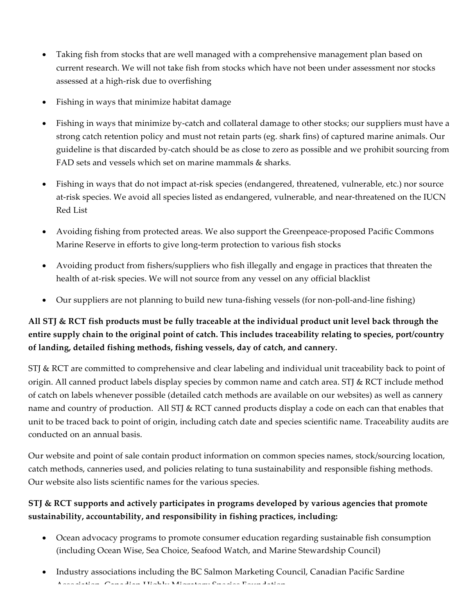- Taking fish from stocks that are well managed with a comprehensive management plan based on current research. We will not take fish from stocks which have not been under assessment nor stocks assessed at a high-risk due to overfishing
- Fishing in ways that minimize habitat damage
- Fishing in ways that minimize by-catch and collateral damage to other stocks; our suppliers must have a strong catch retention policy and must not retain parts (eg. shark fins) of captured marine animals. Our guideline is that discarded by-catch should be as close to zero as possible and we prohibit sourcing from FAD sets and vessels which set on marine mammals & sharks.
- Fishing in ways that do not impact at-risk species (endangered, threatened, vulnerable, etc.) nor source at-risk species. We avoid all species listed as endangered, vulnerable, and near-threatened on the IUCN Red List
- Avoiding fishing from protected areas. We also support the Greenpeace-proposed Pacific Commons Marine Reserve in efforts to give long-term protection to various fish stocks
- Avoiding product from fishers/suppliers who fish illegally and engage in practices that threaten the health of at-risk species. We will not source from any vessel on any official blacklist
- Our suppliers are not planning to build new tuna-fishing vessels (for non-poll-and-line fishing)

# **All STJ & RCT fish products must be fully traceable at the individual product unit level back through the entire supply chain to the original point of catch. This includes traceability relating to species, port/country of landing, detailed fishing methods, fishing vessels, day of catch, and cannery.**

STJ & RCT are committed to comprehensive and clear labeling and individual unit traceability back to point of origin. All canned product labels display species by common name and catch area. STJ & RCT include method of catch on labels whenever possible (detailed catch methods are available on our websites) as well as cannery name and country of production. All STJ & RCT canned products display a code on each can that enables that unit to be traced back to point of origin, including catch date and species scientific name. Traceability audits are conducted on an annual basis.

Our website and point of sale contain product information on common species names, stock/sourcing location, catch methods, canneries used, and policies relating to tuna sustainability and responsible fishing methods. Our website also lists scientific names for the various species.

## **STJ & RCT supports and actively participates in programs developed by various agencies that promote sustainability, accountability, and responsibility in fishing practices, including:**

- Ocean advocacy programs to promote consumer education regarding sustainable fish consumption (including Ocean Wise, Sea Choice, Seafood Watch, and Marine Stewardship Council)
- Industry associations including the BC Salmon Marketing Council, Canadian Pacific Sardine Association, Canadian Highly Migratory Species Foundation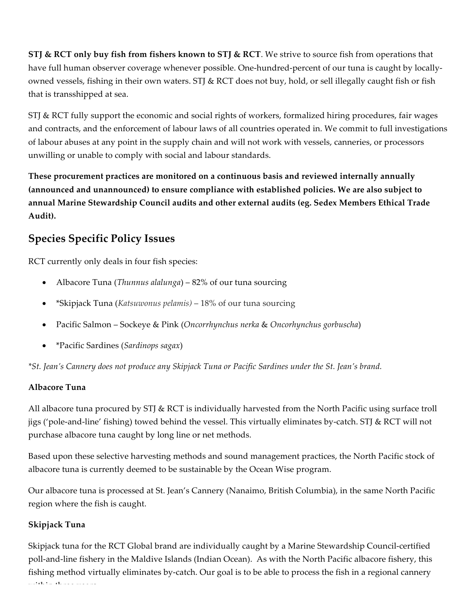**STJ & RCT only buy fish from fishers known to STJ & RCT**. We strive to source fish from operations that have full human observer coverage whenever possible. One-hundred-percent of our tuna is caught by locallyowned vessels, fishing in their own waters. STJ & RCT does not buy, hold, or sell illegally caught fish or fish that is transshipped at sea.

STJ & RCT fully support the economic and social rights of workers, formalized hiring procedures, fair wages and contracts, and the enforcement of labour laws of all countries operated in. We commit to full investigations of labour abuses at any point in the supply chain and will not work with vessels, canneries, or processors unwilling or unable to comply with social and labour standards.

**These procurement practices are monitored on a continuous basis and reviewed internally annually (announced and unannounced) to ensure compliance with established policies. We are also subject to annual Marine Stewardship Council audits and other external audits (eg. Sedex Members Ethical Trade Audit).**

# **Species Specific Policy Issues**

RCT currently only deals in four fish species:

- Albacore Tuna (*Thunnus alalunga*) 82% of our tuna sourcing
- \*Skipjack Tuna (*Katsuwonus pelamis)* 18% of our tuna sourcing
- Pacific Salmon Sockeye & Pink (*Oncorrhynchus nerka* & *Oncorhynchus gorbuscha*)
- \*Pacific Sardines (*Sardinops sagax*)

*\*St. Jean's Cannery does not produce any Skipjack Tuna or Pacific Sardines under the St. Jean's brand.* 

## **Albacore Tuna**

All albacore tuna procured by STJ & RCT is individually harvested from the North Pacific using surface troll jigs ('pole-and-line' fishing) towed behind the vessel. This virtually eliminates by-catch. STJ & RCT will not purchase albacore tuna caught by long line or net methods.

Based upon these selective harvesting methods and sound management practices, the North Pacific stock of albacore tuna is currently deemed to be sustainable by the Ocean Wise program.

Our albacore tuna is processed at St. Jean's Cannery (Nanaimo, British Columbia), in the same North Pacific region where the fish is caught.

## **Skipjack Tuna**

Skipjack tuna for the RCT Global brand are individually caught by a Marine Stewardship Council-certified poll-and-line fishery in the Maldive Islands (Indian Ocean). As with the North Pacific albacore fishery, this fishing method virtually eliminates by-catch. Our goal is to be able to process the fish in a regional cannery within three years.